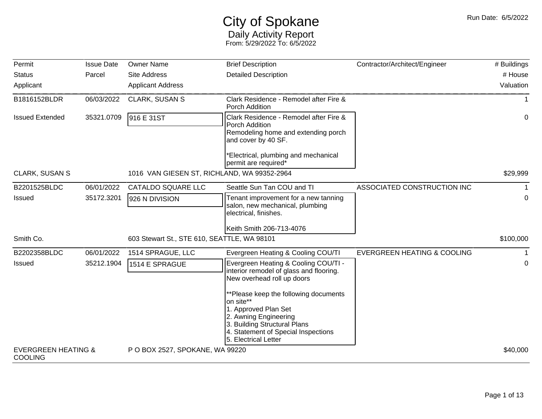## City of Spokane Daily Activity Report From: 5/29/2022 To: 6/5/2022

| Permit                                           | <b>Issue Date</b> | <b>Owner Name</b>                           | <b>Brief Description</b>                                                                                                                                                                           | Contractor/Architect/Engineer          | # Buildings |
|--------------------------------------------------|-------------------|---------------------------------------------|----------------------------------------------------------------------------------------------------------------------------------------------------------------------------------------------------|----------------------------------------|-------------|
| <b>Status</b>                                    | Parcel            | <b>Site Address</b>                         | <b>Detailed Description</b>                                                                                                                                                                        |                                        | # House     |
| Applicant                                        |                   | <b>Applicant Address</b>                    |                                                                                                                                                                                                    |                                        | Valuation   |
| B1816152BLDR                                     | 06/03/2022        | CLARK, SUSAN S                              | Clark Residence - Remodel after Fire &<br>Porch Addition                                                                                                                                           |                                        |             |
| <b>Issued Extended</b>                           | 35321.0709        | 916 E 31ST                                  | Clark Residence - Remodel after Fire &<br>Porch Addition<br>Remodeling home and extending porch<br>and cover by 40 SF.<br>Electrical, plumbing and mechanical                                      |                                        | 0           |
|                                                  |                   |                                             | permit are required*                                                                                                                                                                               |                                        |             |
| <b>CLARK, SUSAN S</b>                            |                   | 1016 VAN GIESEN ST, RICHLAND, WA 99352-2964 |                                                                                                                                                                                                    |                                        | \$29,999    |
| B2201525BLDC                                     | 06/01/2022        | CATALDO SQUARE LLC                          | Seattle Sun Tan COU and TI                                                                                                                                                                         | ASSOCIATED CONSTRUCTION INC            |             |
| <b>Issued</b>                                    | 35172.3201        | 926 N DIVISION                              | Tenant improvement for a new tanning<br>salon, new mechanical, plumbing<br>electrical, finishes.                                                                                                   |                                        | 0           |
|                                                  |                   |                                             | Keith Smith 206-713-4076                                                                                                                                                                           |                                        |             |
| Smith Co.                                        |                   | 603 Stewart St., STE 610, SEATTLE, WA 98101 |                                                                                                                                                                                                    |                                        | \$100,000   |
| B2202358BLDC                                     | 06/01/2022        | 1514 SPRAGUE, LLC                           | Evergreen Heating & Cooling COU/TI                                                                                                                                                                 | <b>EVERGREEN HEATING &amp; COOLING</b> |             |
| Issued                                           | 35212.1904        | 1514 E SPRAGUE                              | Evergreen Heating & Cooling COU/TI -<br>interior remodel of glass and flooring.<br>New overhead roll up doors                                                                                      |                                        | 0           |
|                                                  |                   |                                             | **Please keep the following documents<br>on site**<br>1. Approved Plan Set<br>2. Awning Engineering<br>3. Building Structural Plans<br>4. Statement of Special Inspections<br>5. Electrical Letter |                                        |             |
| <b>EVERGREEN HEATING &amp;</b><br><b>COOLING</b> |                   | P O BOX 2527, SPOKANE, WA 99220             |                                                                                                                                                                                                    |                                        | \$40,000    |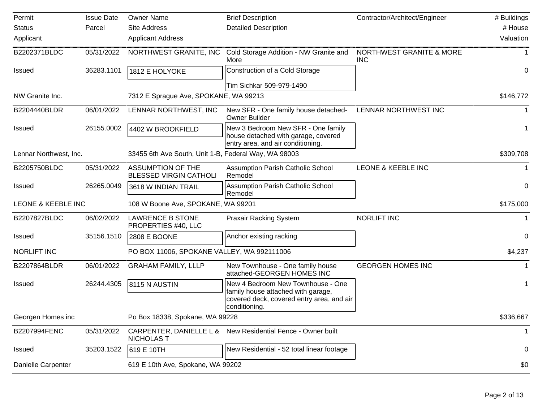| Permit                 | <b>Issue Date</b> | <b>Owner Name</b>                                         | <b>Brief Description</b>                                                                                                              | Contractor/Architect/Engineer                     | # Buildings |
|------------------------|-------------------|-----------------------------------------------------------|---------------------------------------------------------------------------------------------------------------------------------------|---------------------------------------------------|-------------|
| <b>Status</b>          | Parcel            | Site Address                                              | <b>Detailed Description</b>                                                                                                           |                                                   | # House     |
| Applicant              |                   | <b>Applicant Address</b>                                  |                                                                                                                                       |                                                   | Valuation   |
| B2202371BLDC           | 05/31/2022        | NORTHWEST GRANITE, INC                                    | Cold Storage Addition - NW Granite and<br>More                                                                                        | <b>NORTHWEST GRANITE &amp; MORE</b><br><b>INC</b> |             |
| <b>Issued</b>          | 36283.1101        | 1812 E HOLYOKE                                            | Construction of a Cold Storage                                                                                                        |                                                   | 0           |
|                        |                   |                                                           | Tim Sichkar 509-979-1490                                                                                                              |                                                   |             |
| NW Granite Inc.        |                   | 7312 E Sprague Ave, SPOKANE, WA 99213                     |                                                                                                                                       |                                                   | \$146,772   |
| B2204440BLDR           | 06/01/2022        | LENNAR NORTHWEST, INC                                     | New SFR - One family house detached-<br><b>Owner Builder</b>                                                                          | LENNAR NORTHWEST INC                              |             |
| <b>Issued</b>          | 26155.0002        | 4402 W BROOKFIELD                                         | New 3 Bedroom New SFR - One family<br>house detached with garage, covered<br>entry area, and air conditioning.                        |                                                   |             |
| Lennar Northwest, Inc. |                   | 33455 6th Ave South, Unit 1-B, Federal Way, WA 98003      |                                                                                                                                       |                                                   | \$309,708   |
| B2205750BLDC           | 05/31/2022        | <b>ASSUMPTION OF THE</b><br><b>BLESSED VIRGIN CATHOLI</b> | <b>Assumption Parish Catholic School</b><br>Remodel                                                                                   | LEONE & KEEBLE INC                                |             |
| <b>Issued</b>          | 26265.0049        | 3618 W INDIAN TRAIL                                       | <b>Assumption Parish Catholic School</b><br>Remodel                                                                                   |                                                   | 0           |
| LEONE & KEEBLE INC     |                   | 108 W Boone Ave, SPOKANE, WA 99201                        |                                                                                                                                       |                                                   | \$175,000   |
| B2207827BLDC           | 06/02/2022        | <b>LAWRENCE B STONE</b><br>PROPERTIES #40, LLC            | <b>Praxair Racking System</b>                                                                                                         | <b>NORLIFT INC</b>                                |             |
| Issued                 | 35156.1510        | <b>2808 E BOONE</b>                                       | Anchor existing racking                                                                                                               |                                                   | 0           |
| <b>NORLIFT INC</b>     |                   | PO BOX 11006, SPOKANE VALLEY, WA 992111006                |                                                                                                                                       |                                                   | \$4,237     |
| B2207864BLDR           | 06/01/2022        | <b>GRAHAM FAMILY, LLLP</b>                                | New Townhouse - One family house<br>attached-GEORGEN HOMES INC                                                                        | <b>GEORGEN HOMES INC</b>                          |             |
| <b>Issued</b>          | 26244.4305        | 8115 N AUSTIN                                             | New 4 Bedroom New Townhouse - One<br>family house attached with garage,<br>covered deck, covered entry area, and air<br>conditioning. |                                                   |             |
| Georgen Homes inc      |                   | Po Box 18338, Spokane, WA 99228                           |                                                                                                                                       |                                                   | \$336,667   |
| B2207994FENC           | 05/31/2022        | CARPENTER, DANIELLE L &<br><b>NICHOLAS T</b>              | New Residential Fence - Owner built                                                                                                   |                                                   | 1           |
| <b>Issued</b>          | 35203.1522        | 619 E 10TH                                                | New Residential - 52 total linear footage                                                                                             |                                                   | 0           |
| Danielle Carpenter     |                   | 619 E 10th Ave, Spokane, WA 99202                         |                                                                                                                                       |                                                   | \$0         |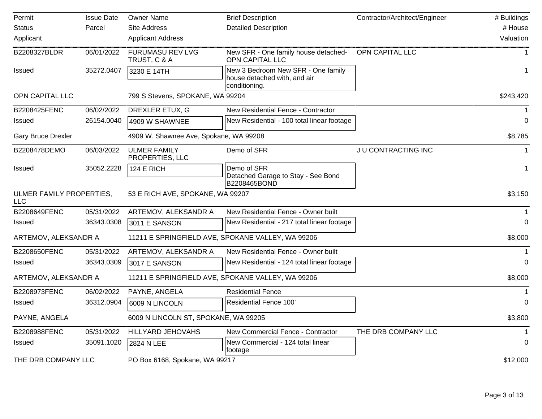| Permit                          | <b>Issue Date</b> | <b>Owner Name</b>                       | <b>Brief Description</b>                                                            | Contractor/Architect/Engineer | # Buildings  |
|---------------------------------|-------------------|-----------------------------------------|-------------------------------------------------------------------------------------|-------------------------------|--------------|
| <b>Status</b>                   | Parcel            | Site Address                            | <b>Detailed Description</b>                                                         |                               | # House      |
| Applicant                       |                   | <b>Applicant Address</b>                |                                                                                     |                               | Valuation    |
| B2208327BLDR                    | 06/01/2022        | <b>FURUMASU REV LVG</b><br>TRUST, C & A | New SFR - One family house detached-<br>OPN CAPITAL LLC                             | OPN CAPITAL LLC               | $\mathbf{1}$ |
| Issued                          | 35272.0407        | 3230 E 14TH                             | New 3 Bedroom New SFR - One family<br>house detached with, and air<br>conditioning. |                               | -1           |
| OPN CAPITAL LLC                 |                   | 799 S Stevens, SPOKANE, WA 99204        |                                                                                     |                               | \$243,420    |
| B2208425FENC                    | 06/02/2022        | DREXLER ETUX, G                         | New Residential Fence - Contractor                                                  |                               | $\mathbf 1$  |
| Issued                          | 26154.0040        | 4909 W SHAWNEE                          | New Residential - 100 total linear footage                                          |                               | 0            |
| <b>Gary Bruce Drexler</b>       |                   | 4909 W. Shawnee Ave, Spokane, WA 99208  |                                                                                     |                               | \$8,785      |
| B2208478DEMO                    | 06/03/2022        | <b>ULMER FAMILY</b><br>PROPERTIES, LLC  | Demo of SFR                                                                         | JU CONTRACTING INC            |              |
| <b>Issued</b>                   | 35052.2228        | 124 E RICH                              | Demo of SFR<br>Detached Garage to Stay - See Bond<br>B2208465BOND                   |                               |              |
| ULMER FAMILY PROPERTIES,<br>LLC |                   | 53 E RICH AVE, SPOKANE, WA 99207        |                                                                                     |                               | \$3,150      |
| B2208649FENC                    | 05/31/2022        | ARTEMOV, ALEKSANDR A                    | New Residential Fence - Owner built                                                 |                               |              |
| <b>Issued</b>                   | 36343.0308        | 3011 E SANSON                           | New Residential - 217 total linear footage                                          |                               | $\Omega$     |
| ARTEMOV, ALEKSANDR A            |                   |                                         | 11211 E SPRINGFIELD AVE, SPOKANE VALLEY, WA 99206                                   |                               | \$8,000      |
| B2208650FENC                    | 05/31/2022        | ARTEMOV, ALEKSANDR A                    | New Residential Fence - Owner built                                                 |                               | $\mathbf{1}$ |
| <b>Issued</b>                   | 36343.0309        | 3017 E SANSON                           | New Residential - 124 total linear footage                                          |                               | $\Omega$     |
| ARTEMOV, ALEKSANDR A            |                   |                                         | 11211 E SPRINGFIELD AVE, SPOKANE VALLEY, WA 99206                                   |                               | \$8,000      |
| B2208973FENC                    | 06/02/2022        | PAYNE, ANGELA                           | <b>Residential Fence</b>                                                            |                               |              |
| <b>Issued</b>                   | 36312.0904        | 6009 N LINCOLN                          | Residential Fence 100'                                                              |                               | $\Omega$     |
| PAYNE, ANGELA                   |                   | 6009 N LINCOLN ST, SPOKANE, WA 99205    |                                                                                     |                               | \$3,800      |
| B2208988FENC                    | 05/31/2022        | HILLYARD JEHOVAHS                       | New Commercial Fence - Contractor                                                   | THE DRB COMPANY LLC           |              |
| <b>Issued</b>                   | 35091.1020        | 2824 N LEE                              | New Commercial - 124 total linear<br>footage                                        |                               | 0            |
| THE DRB COMPANY LLC             |                   | PO Box 6168, Spokane, WA 99217          |                                                                                     |                               | \$12,000     |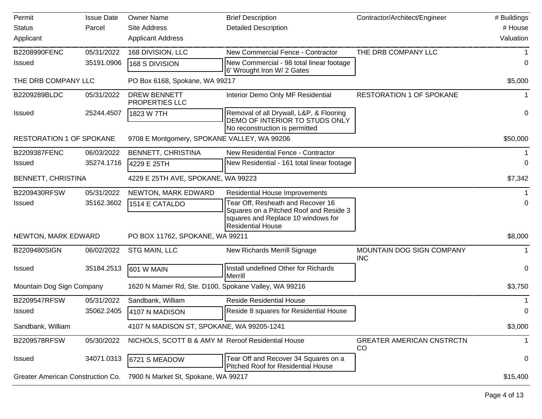| Permit                            | <b>Issue Date</b> | <b>Owner Name</b>                                    | <b>Brief Description</b>                                                                                                                      | Contractor/Architect/Engineer           | # Buildings |
|-----------------------------------|-------------------|------------------------------------------------------|-----------------------------------------------------------------------------------------------------------------------------------------------|-----------------------------------------|-------------|
| <b>Status</b>                     | Parcel            | <b>Site Address</b>                                  | <b>Detailed Description</b>                                                                                                                   |                                         | # House     |
| Applicant                         |                   | <b>Applicant Address</b>                             |                                                                                                                                               |                                         | Valuation   |
| B2208990FENC                      | 05/31/2022        | 168 DIVISION, LLC                                    | New Commercial Fence - Contractor                                                                                                             | THE DRB COMPANY LLC                     |             |
| <b>Issued</b>                     | 35191.0906        | 168 S DIVISION                                       | New Commercial - 98 total linear footage<br>6' Wrought Iron W/ 2 Gates                                                                        |                                         | 0           |
| THE DRB COMPANY LLC               |                   | PO Box 6168, Spokane, WA 99217                       |                                                                                                                                               |                                         | \$5,000     |
| B2209289BLDC                      | 05/31/2022        | <b>DREW BENNETT</b><br>PROPERTIES LLC                | Interior Demo Only MF Residential                                                                                                             | <b>RESTORATION 1 OF SPOKANE</b>         |             |
| Issued                            | 25244.4507        | 1823 W 7TH                                           | Removal of all Drywall, L&P, & Flooring<br>DEMO OF INTERIOR TO STUDS ONLY                                                                     |                                         | 0           |
|                                   |                   |                                                      | No reconstruction is permitted                                                                                                                |                                         |             |
| <b>RESTORATION 1 OF SPOKANE</b>   |                   | 9708 E Montgomery, SPOKANE VALLEY, WA 99206          |                                                                                                                                               |                                         | \$50,000    |
| B2209387FENC                      | 06/03/2022        | <b>BENNETT, CHRISTINA</b>                            | New Residential Fence - Contractor                                                                                                            |                                         |             |
| <b>Issued</b>                     | 35274.1716        | 4229 E 25TH                                          | New Residential - 161 total linear footage                                                                                                    |                                         | $\Omega$    |
| BENNETT, CHRISTINA                |                   | 4229 E 25TH AVE, SPOKANE, WA 99223                   |                                                                                                                                               |                                         | \$7,342     |
| B2209430RFSW                      | 05/31/2022        | NEWTON, MARK EDWARD                                  | <b>Residential House Improvements</b>                                                                                                         |                                         |             |
| <b>Issued</b>                     | 35162.3602        | 1514 E CATALDO                                       | Tear Off, Resheath and Recover 16<br>Squares on a Pitched Roof and Reside 3<br>squares and Replace 10 windows for<br><b>Residential House</b> |                                         | $\Omega$    |
| NEWTON, MARK EDWARD               |                   | PO BOX 11762, SPOKANE, WA 99211                      |                                                                                                                                               |                                         | \$8,000     |
| B2209480SIGN                      | 06/02/2022        | STG MAIN, LLC                                        | New Richards Merrill Signage                                                                                                                  | MOUNTAIN DOG SIGN COMPANY<br><b>INC</b> |             |
| <b>Issued</b>                     | 35184.2513        | 601 W MAIN                                           | Install undefined Other for Richards<br>Merrill                                                                                               |                                         | 0           |
| Mountain Dog Sign Company         |                   | 1620 N Mamer Rd, Ste. D100, Spokane Valley, WA 99216 |                                                                                                                                               |                                         | \$3,750     |
| B2209547RFSW                      | 05/31/2022        | Sandbank, William                                    | <b>Reside Residential House</b>                                                                                                               |                                         |             |
| Issued                            | 35062.2405        | 4107 N MADISON                                       | Reside 8 squares for Residential House                                                                                                        |                                         | 0           |
| Sandbank, William                 |                   | 4107 N MADISON ST, SPOKANE, WA 99205-1241            |                                                                                                                                               |                                         | \$3,000     |
| B2209578RFSW                      | 05/30/2022        | NICHOLS, SCOTT B & AMY M Reroof Residential House    |                                                                                                                                               | <b>GREATER AMERICAN CNSTRCTN</b><br>CO  | 1           |
| <b>Issued</b>                     | 34071.0313        | 6721 S MEADOW                                        | Tear Off and Recover 34 Squares on a<br><b>Pitched Roof for Residential House</b>                                                             |                                         | 0           |
| Greater American Construction Co. |                   | 7900 N Market St, Spokane, WA 99217                  |                                                                                                                                               |                                         | \$15,400    |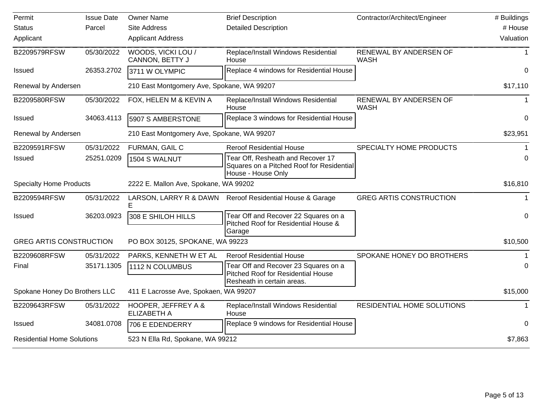| Permit                            | <b>Issue Date</b> | <b>Owner Name</b>                          | <b>Brief Description</b>                                                                                        | Contractor/Architect/Engineer         | # Buildings      |
|-----------------------------------|-------------------|--------------------------------------------|-----------------------------------------------------------------------------------------------------------------|---------------------------------------|------------------|
| <b>Status</b>                     | Parcel            | <b>Site Address</b>                        | <b>Detailed Description</b>                                                                                     |                                       | # House          |
| Applicant                         |                   | <b>Applicant Address</b>                   |                                                                                                                 |                                       | Valuation        |
| B2209579RFSW                      | 05/30/2022        | WOODS, VICKI LOU /<br>CANNON, BETTY J      | Replace/Install Windows Residential<br>House                                                                    | RENEWAL BY ANDERSEN OF<br><b>WASH</b> |                  |
| <b>Issued</b>                     | 26353.2702        | 3711 W OLYMPIC                             | Replace 4 windows for Residential House                                                                         |                                       | 0                |
| Renewal by Andersen               |                   | 210 East Montgomery Ave, Spokane, WA 99207 |                                                                                                                 |                                       | \$17,110         |
| B2209580RFSW                      | 05/30/2022        | FOX, HELEN M & KEVIN A                     | Replace/Install Windows Residential<br>House                                                                    | RENEWAL BY ANDERSEN OF<br><b>WASH</b> | $\mathbf 1$      |
| <b>Issued</b>                     | 34063.4113        | 5907 S AMBERSTONE                          | Replace 3 windows for Residential House                                                                         |                                       | $\mathbf 0$      |
| Renewal by Andersen               |                   | 210 East Montgomery Ave, Spokane, WA 99207 |                                                                                                                 |                                       | \$23,951         |
| B2209591RFSW                      | 05/31/2022        | FURMAN, GAIL C                             | <b>Reroof Residential House</b>                                                                                 | SPECIALTY HOME PRODUCTS               |                  |
| <b>Issued</b>                     | 25251.0209        | 1504 S WALNUT                              | Tear Off, Resheath and Recover 17<br>Squares on a Pitched Roof for Residential<br>House - House Only            |                                       | 0                |
| <b>Specialty Home Products</b>    |                   | 2222 E. Mallon Ave, Spokane, WA 99202      |                                                                                                                 |                                       | \$16,810         |
| B2209594RFSW                      | 05/31/2022        | LARSON, LARRY R & DAWN                     | Reroof Residential House & Garage                                                                               | <b>GREG ARTIS CONSTRUCTION</b>        | $\mathbf{1}$     |
| <b>Issued</b>                     | 36203.0923        | 308 E SHILOH HILLS                         | Tear Off and Recover 22 Squares on a<br>Pitched Roof for Residential House &<br>Garage                          |                                       | $\boldsymbol{0}$ |
| <b>GREG ARTIS CONSTRUCTION</b>    |                   | PO BOX 30125, SPOKANE, WA 99223            |                                                                                                                 |                                       | \$10,500         |
| B2209608RFSW                      | 05/31/2022        | PARKS, KENNETH W ET AL                     | <b>Reroof Residential House</b>                                                                                 | SPOKANE HONEY DO BROTHERS             | 1                |
| Final                             | 35171.1305        | 1112 N COLUMBUS                            | Tear Off and Recover 23 Squares on a<br><b>Pitched Roof for Residential House</b><br>Resheath in certain areas. |                                       | $\Omega$         |
| Spokane Honey Do Brothers LLC     |                   | 411 E Lacrosse Ave, Spokaen, WA 99207      |                                                                                                                 |                                       | \$15,000         |
| B2209643RFSW                      | 05/31/2022        | HOOPER, JEFFREY A &<br><b>ELIZABETH A</b>  | Replace/Install Windows Residential<br>House                                                                    | <b>RESIDENTIAL HOME SOLUTIONS</b>     | $\mathbf{1}$     |
| <b>Issued</b>                     | 34081.0708        | 706 E EDENDERRY                            | Replace 9 windows for Residential House                                                                         |                                       | $\mathbf 0$      |
| <b>Residential Home Solutions</b> |                   | 523 N Ella Rd, Spokane, WA 99212           |                                                                                                                 |                                       | \$7,863          |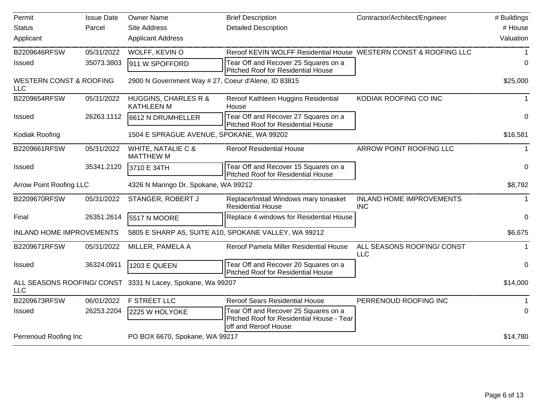| Permit                                           | <b>Issue Date</b> | <b>Owner Name</b>                                          | <b>Brief Description</b>                                                                                  | Contractor/Architect/Engineer            | # Buildings |
|--------------------------------------------------|-------------------|------------------------------------------------------------|-----------------------------------------------------------------------------------------------------------|------------------------------------------|-------------|
| <b>Status</b>                                    | Parcel            | <b>Site Address</b>                                        | <b>Detailed Description</b>                                                                               |                                          | # House     |
| Applicant                                        |                   | <b>Applicant Address</b>                                   |                                                                                                           |                                          | Valuation   |
| B2209646RFSW                                     | 05/31/2022        | WOLFF, KEVIN O                                             | Reroof KEVIN WOLFF Residential House WESTERN CONST & ROOFING LLC                                          |                                          |             |
| <b>Issued</b>                                    | 35073.3803        | 911 W SPOFFORD                                             | Tear Off and Recover 25 Squares on a<br><b>Pitched Roof for Residential House</b>                         |                                          | 0           |
| <b>WESTERN CONST &amp; ROOFING</b><br><b>LLC</b> |                   | 2900 N Government Way # 27, Coeur d'Alene, ID 83815        |                                                                                                           |                                          | \$25,000    |
| B2209654RFSW                                     | 05/31/2022        | <b>HUGGINS, CHARLES R &amp;</b><br><b>KATHLEEN M</b>       | Reroof Kathleen Huggins Residential<br>House                                                              | KODIAK ROOFING CO INC                    | 1           |
| <b>Issued</b>                                    | 26263.1112        | 6612 N DRUMHELLER                                          | Tear Off and Recover 27 Squares on a<br><b>Pitched Roof for Residential House</b>                         |                                          | 0           |
| Kodiak Roofing                                   |                   | 1504 E SPRAGUE AVENUE, SPOKANE, WA 99202                   |                                                                                                           |                                          | \$16,581    |
| B2209661RFSW                                     | 05/31/2022        | WHITE, NATALIE C &<br><b>MATTHEW M</b>                     | <b>Reroof Residential House</b>                                                                           | ARROW POINT ROOFING LLC                  | 1           |
| <b>Issued</b>                                    | 35341.2120        | 3710 E 34TH                                                | Tear Off and Recover 15 Squares on a<br>Pitched Roof for Residential House                                |                                          | $\Omega$    |
| <b>Arrow Point Roofing LLC</b>                   |                   | 4326 N Maringo Dr, Spokane, WA 99212                       |                                                                                                           |                                          | \$8,792     |
| B2209670RFSW                                     | 05/31/2022        | STANGER, ROBERT J                                          | Replace/Install Windows mary tonasket<br><b>Residential House</b>                                         | INLAND HOME IMPROVEMENTS<br><b>INC</b>   |             |
| Final                                            | 26351.2614        | 5517 N MOORE                                               | Replace 4 windows for Residential House                                                                   |                                          | 0           |
| <b>INLAND HOME IMPROVEMENTS</b>                  |                   |                                                            | 5805 E SHARP A5, SUITE A10, SPOKANE VALLEY, WA 99212                                                      |                                          | \$6,675     |
| B2209671RFSW                                     | 05/31/2022        | MILLER, PAMELA A                                           | Reroof Pamela Miller Residential House                                                                    | ALL SEASONS ROOFING/ CONST<br><b>LLC</b> | 1           |
| <b>Issued</b>                                    | 36324.0911        | 1203 E QUEEN                                               | Tear Off and Recover 20 Squares on a<br>Pitched Roof for Residential House                                |                                          | $\Omega$    |
| <b>LLC</b>                                       |                   | ALL SEASONS ROOFING/ CONST 3331 N Lacey, Spokane, Wa 99207 |                                                                                                           |                                          | \$14,000    |
| B2209673RFSW                                     | 06/01/2022        | <b>F STREET LLC</b>                                        | <b>Reroof Sears Residential House</b>                                                                     | PERRENOUD ROOFING INC                    |             |
| <b>Issued</b>                                    | 26253.2204        | 2225 W HOLYOKE                                             | Tear Off and Recover 25 Squares on a<br>Pitched Roof for Residential House - Tear<br>off and Reroof House |                                          | $\Omega$    |
| Perrenoud Roofing Inc                            |                   | PO BOX 6670, Spokane, WA 99217                             |                                                                                                           |                                          | \$14,780    |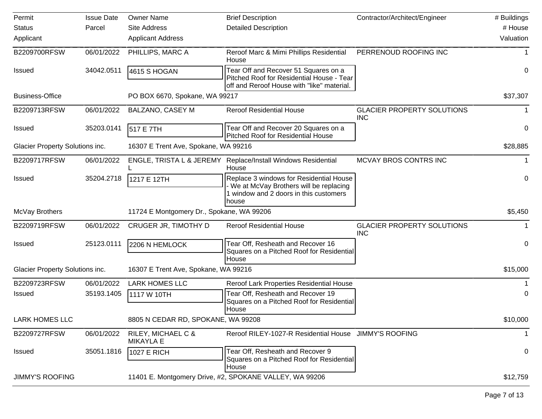| Permit                          | <b>Issue Date</b> | <b>Owner Name</b>                         | <b>Brief Description</b>                                                                                                             | Contractor/Architect/Engineer                   | # Buildings |
|---------------------------------|-------------------|-------------------------------------------|--------------------------------------------------------------------------------------------------------------------------------------|-------------------------------------------------|-------------|
| <b>Status</b>                   | Parcel            | Site Address                              | <b>Detailed Description</b>                                                                                                          |                                                 | # House     |
| Applicant                       |                   | <b>Applicant Address</b>                  |                                                                                                                                      |                                                 | Valuation   |
| B2209700RFSW                    | 06/01/2022        | PHILLIPS, MARC A                          | Reroof Marc & Mimi Phillips Residential<br>House                                                                                     | PERRENOUD ROOFING INC                           |             |
| <b>Issued</b>                   | 34042.0511        | 4615 S HOGAN                              | Tear Off and Recover 51 Squares on a<br>Pitched Roof for Residential House - Tear<br>off and Reroof House with "like" material.      |                                                 | 0           |
| <b>Business-Office</b>          |                   | PO BOX 6670, Spokane, WA 99217            |                                                                                                                                      |                                                 | \$37,307    |
| B2209713RFSW                    | 06/01/2022        | <b>BALZANO, CASEY M</b>                   | <b>Reroof Residential House</b>                                                                                                      | <b>GLACIER PROPERTY SOLUTIONS</b><br><b>INC</b> |             |
| <b>Issued</b>                   | 35203.0141        | 517 E 7TH                                 | Tear Off and Recover 20 Squares on a<br><b>Pitched Roof for Residential House</b>                                                    |                                                 | 0           |
| Glacier Property Solutions inc. |                   | 16307 E Trent Ave, Spokane, WA 99216      |                                                                                                                                      |                                                 | \$28,885    |
| B2209717RFSW                    | 06/01/2022        |                                           | ENGLE, TRISTA L & JEREMY Replace/Install Windows Residential<br>House                                                                | MCVAY BROS CONTRS INC                           |             |
| <b>Issued</b>                   | 35204.2718        | 1217 E 12TH                               | Replace 3 windows for Residential House<br>We at McVay Brothers will be replacing<br>1 window and 2 doors in this customers<br>house |                                                 | 0           |
| McVay Brothers                  |                   | 11724 E Montgomery Dr., Spokane, WA 99206 |                                                                                                                                      |                                                 | \$5,450     |
| B2209719RFSW                    | 06/01/2022        | CRUGER JR, TIMOTHY D                      | <b>Reroof Residential House</b>                                                                                                      | <b>GLACIER PROPERTY SOLUTIONS</b><br><b>INC</b> |             |
| <b>Issued</b>                   | 25123.0111        | 2206 N HEMLOCK                            | Tear Off, Resheath and Recover 16<br>Squares on a Pitched Roof for Residential<br>House                                              |                                                 | 0           |
| Glacier Property Solutions inc. |                   | 16307 E Trent Ave, Spokane, WA 99216      |                                                                                                                                      |                                                 | \$15,000    |
| B2209723RFSW                    | 06/01/2022        | <b>LARK HOMES LLC</b>                     | Reroof Lark Properties Residential House                                                                                             |                                                 |             |
| <b>Issued</b>                   | 35193.1405        | 1117 W 10TH                               | Tear Off, Resheath and Recover 19<br>Squares on a Pitched Roof for Residential<br> House                                             |                                                 | 0           |
| LARK HOMES LLC                  |                   | 8805 N CEDAR RD, SPOKANE, WA 99208        |                                                                                                                                      |                                                 | \$10,000    |
| B2209727RFSW                    | 06/01/2022        | RILEY, MICHAEL C &<br><b>MIKAYLA E</b>    | Reroof RILEY-1027-R Residential House JIMMY'S ROOFING                                                                                |                                                 | 1.          |
| <b>Issued</b>                   | 35051.1816        | <b>1027 E RICH</b>                        | Tear Off, Resheath and Recover 9<br>Squares on a Pitched Roof for Residential<br>House                                               |                                                 | 0           |
| <b>JIMMY'S ROOFING</b>          |                   |                                           | 11401 E. Montgomery Drive, #2, SPOKANE VALLEY, WA 99206                                                                              |                                                 | \$12,759    |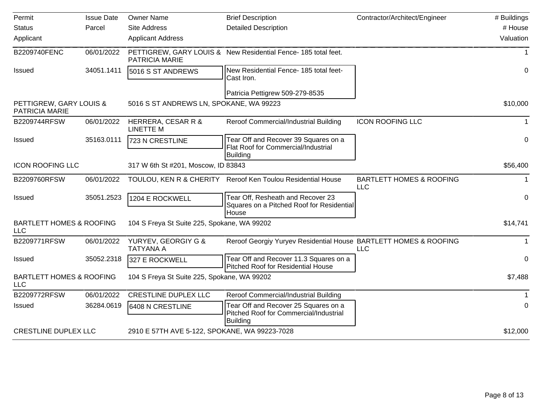| Permit                                            | <b>Issue Date</b> | <b>Owner Name</b>                             | <b>Brief Description</b>                                                                          | Contractor/Architect/Engineer                     | # Buildings  |
|---------------------------------------------------|-------------------|-----------------------------------------------|---------------------------------------------------------------------------------------------------|---------------------------------------------------|--------------|
| <b>Status</b>                                     | Parcel            | <b>Site Address</b>                           | <b>Detailed Description</b>                                                                       |                                                   | # House      |
| Applicant                                         |                   | <b>Applicant Address</b>                      |                                                                                                   |                                                   | Valuation    |
| B2209740FENC                                      | 06/01/2022        | PATRICIA MARIE                                | PETTIGREW, GARY LOUIS & New Residential Fence- 185 total feet.                                    |                                                   | $\mathbf{1}$ |
| Issued                                            | 34051.1411        | 5016 S ST ANDREWS                             | New Residential Fence- 185 total feet-<br>Cast Iron.                                              |                                                   | 0            |
|                                                   |                   |                                               | Patricia Pettigrew 509-279-8535                                                                   |                                                   |              |
| PETTIGREW, GARY LOUIS &<br><b>PATRICIA MARIE</b>  |                   | 5016 S ST ANDREWS LN, SPOKANE, WA 99223       |                                                                                                   |                                                   | \$10,000     |
| B2209744RFSW                                      | 06/01/2022        | HERRERA, CESAR R &<br><b>LINETTE M</b>        | Reroof Commercial/Industrial Building                                                             | <b>ICON ROOFING LLC</b>                           | 1            |
| Issued                                            | 35163.0111        | 723 N CRESTLINE                               | Tear Off and Recover 39 Squares on a<br>Flat Roof for Commercial/Industrial<br><b>Building</b>    |                                                   | 0            |
| <b>ICON ROOFING LLC</b>                           |                   | 317 W 6th St #201, Moscow, ID 83843           |                                                                                                   |                                                   | \$56,400     |
| B2209760RFSW                                      | 06/01/2022        | TOULOU, KEN R & CHERITY                       | Reroof Ken Toulou Residential House                                                               | <b>BARTLETT HOMES &amp; ROOFING</b><br><b>LLC</b> | $\mathbf 1$  |
| Issued                                            | 35051.2523        | 1204 E ROCKWELL                               | Tear Off, Resheath and Recover 23<br>Squares on a Pitched Roof for Residential<br>House           |                                                   | 0            |
| <b>BARTLETT HOMES &amp; ROOFING</b><br><b>LLC</b> |                   | 104 S Freya St Suite 225, Spokane, WA 99202   |                                                                                                   |                                                   | \$14,741     |
| B2209771RFSW                                      | 06/01/2022        | YURYEV, GEORGIY G &<br><b>TATYANA A</b>       | Reroof Georgiy Yuryev Residential House BARTLETT HOMES & ROOFING                                  | <b>LLC</b>                                        | 1            |
| Issued                                            | 35052.2318        | 327 E ROCKWELL                                | Tear Off and Recover 11.3 Squares on a<br>Pitched Roof for Residential House                      |                                                   | $\Omega$     |
| <b>BARTLETT HOMES &amp; ROOFING</b><br><b>LLC</b> |                   | 104 S Freya St Suite 225, Spokane, WA 99202   |                                                                                                   |                                                   | \$7,488      |
| B2209772RFSW                                      | 06/01/2022        | <b>CRESTLINE DUPLEX LLC</b>                   | Reroof Commercial/Industrial Building                                                             |                                                   | 1            |
| Issued                                            | 36284.0619        | 6408 N CRESTLINE                              | Tear Off and Recover 25 Squares on a<br>Pitched Roof for Commercial/Industrial<br><b>Building</b> |                                                   | 0            |
| <b>CRESTLINE DUPLEX LLC</b>                       |                   | 2910 E 57TH AVE 5-122, SPOKANE, WA 99223-7028 |                                                                                                   |                                                   | \$12,000     |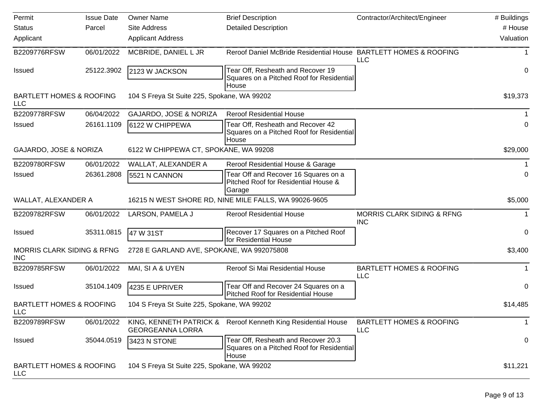| Permit                                              | <b>Issue Date</b> | <b>Owner Name</b>                                     | <b>Brief Description</b>                                                                  | Contractor/Architect/Engineer                       | # Buildings  |
|-----------------------------------------------------|-------------------|-------------------------------------------------------|-------------------------------------------------------------------------------------------|-----------------------------------------------------|--------------|
| <b>Status</b>                                       | Parcel            | <b>Site Address</b>                                   | <b>Detailed Description</b>                                                               |                                                     | # House      |
| Applicant                                           |                   | <b>Applicant Address</b>                              |                                                                                           |                                                     | Valuation    |
| B2209776RFSW                                        | 06/01/2022        | MCBRIDE, DANIEL L JR                                  | Reroof Daniel McBride Residential House BARTLETT HOMES & ROOFING                          | <b>LLC</b>                                          |              |
| <b>Issued</b>                                       | 25122.3902        | 2123 W JACKSON                                        | Tear Off, Resheath and Recover 19<br>Squares on a Pitched Roof for Residential<br>House   |                                                     | 0            |
| <b>BARTLETT HOMES &amp; ROOFING</b><br><b>LLC</b>   |                   | 104 S Freya St Suite 225, Spokane, WA 99202           |                                                                                           |                                                     | \$19,373     |
| B2209778RFSW                                        | 06/04/2022        | GAJARDO, JOSE & NORIZA                                | <b>Reroof Residential House</b>                                                           |                                                     |              |
| <b>Issued</b>                                       | 26161.1109        | 6122 W CHIPPEWA                                       | Tear Off, Resheath and Recover 42<br>Squares on a Pitched Roof for Residential<br>House   |                                                     | 0            |
| GAJARDO, JOSE & NORIZA                              |                   | 6122 W CHIPPEWA CT, SPOKANE, WA 99208                 |                                                                                           |                                                     | \$29,000     |
| B2209780RFSW                                        | 06/01/2022        | WALLAT, ALEXANDER A                                   | Reroof Residential House & Garage                                                         |                                                     |              |
| <b>Issued</b>                                       | 26361.2808        | 5521 N CANNON                                         | Tear Off and Recover 16 Squares on a<br>Pitched Roof for Residential House &<br>Garage    |                                                     | 0            |
| WALLAT, ALEXANDER A                                 |                   | 16215 N WEST SHORE RD, NINE MILE FALLS, WA 99026-9605 |                                                                                           |                                                     | \$5,000      |
| B2209782RFSW                                        | 06/01/2022        | LARSON, PAMELA J                                      | <b>Reroof Residential House</b>                                                           | <b>MORRIS CLARK SIDING &amp; RFNG</b><br><b>INC</b> |              |
| <b>Issued</b>                                       | 35311.0815        | 47 W 31ST                                             | Recover 17 Squares on a Pitched Roof<br>for Residential House                             |                                                     | 0            |
| <b>MORRIS CLARK SIDING &amp; RFNG</b><br><b>INC</b> |                   | 2728 E GARLAND AVE, SPOKANE, WA 992075808             |                                                                                           |                                                     | \$3,400      |
| B2209785RFSW                                        | 06/01/2022        | MAI, SI A & UYEN                                      | Reroof Si Mai Residential House                                                           | <b>BARTLETT HOMES &amp; ROOFING</b><br><b>LLC</b>   |              |
| <b>Issued</b>                                       | 35104.1409        | 4235 E UPRIVER                                        | Tear Off and Recover 24 Squares on a<br>Pitched Roof for Residential House                |                                                     | 0            |
| <b>BARTLETT HOMES &amp; ROOFING</b><br><b>LLC</b>   |                   | 104 S Freya St Suite 225, Spokane, WA 99202           |                                                                                           |                                                     | \$14,485     |
| B2209789RFSW                                        | 06/01/2022        | KING, KENNETH PATRICK &<br><b>GEORGEANNA LORRA</b>    | Reroof Kenneth King Residential House                                                     | <b>BARTLETT HOMES &amp; ROOFING</b><br><b>LLC</b>   | $\mathbf{1}$ |
| Issued                                              | 35044.0519        | 3423 N STONE                                          | Tear Off, Resheath and Recover 20.3<br>Squares on a Pitched Roof for Residential<br>House |                                                     | 0            |
| <b>BARTLETT HOMES &amp; ROOFING</b><br><b>LLC</b>   |                   | 104 S Freya St Suite 225, Spokane, WA 99202           |                                                                                           |                                                     | \$11,221     |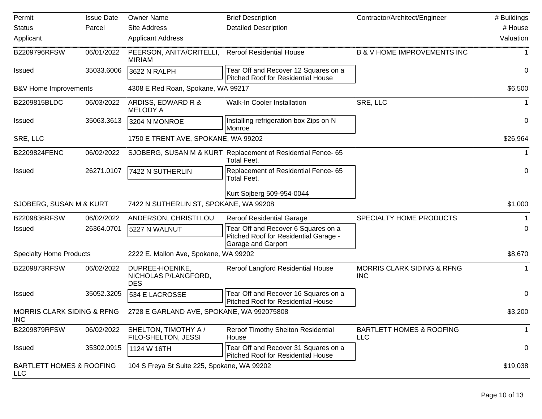| Permit                                              | <b>Issue Date</b> | <b>Owner Name</b>                                     | <b>Brief Description</b>                                                                           | Contractor/Architect/Engineer                       | # Buildings |
|-----------------------------------------------------|-------------------|-------------------------------------------------------|----------------------------------------------------------------------------------------------------|-----------------------------------------------------|-------------|
| <b>Status</b>                                       | Parcel            | <b>Site Address</b>                                   | <b>Detailed Description</b>                                                                        |                                                     | # House     |
| Applicant                                           |                   | <b>Applicant Address</b>                              |                                                                                                    |                                                     | Valuation   |
| B2209796RFSW                                        | 06/01/2022        | PEERSON, ANITA/CRITELLI,<br><b>MIRIAM</b>             | <b>Reroof Residential House</b>                                                                    | <b>B &amp; V HOME IMPROVEMENTS INC</b>              |             |
| <b>Issued</b>                                       | 35033.6006        | 3622 N RALPH                                          | Tear Off and Recover 12 Squares on a<br>Pitched Roof for Residential House                         |                                                     | $\pmb{0}$   |
| B&V Home Improvements                               |                   | 4308 E Red Roan, Spokane, WA 99217                    |                                                                                                    |                                                     | \$6,500     |
| B2209815BLDC                                        | 06/03/2022        | ARDISS, EDWARD R &<br><b>MELODY A</b>                 | Walk-In Cooler Installation                                                                        | SRE, LLC                                            |             |
| <b>Issued</b>                                       | 35063.3613        | 3204 N MONROE                                         | Installing refrigeration box Zips on N<br>Monroe                                                   |                                                     | $\pmb{0}$   |
| SRE, LLC                                            |                   | 1750 E TRENT AVE, SPOKANE, WA 99202                   |                                                                                                    |                                                     | \$26,964    |
| B2209824FENC                                        | 06/02/2022        |                                                       | SJOBERG, SUSAN M & KURT Replacement of Residential Fence- 65<br><b>Total Feet.</b>                 |                                                     |             |
| <b>Issued</b>                                       | 26271.0107        | 7422 N SUTHERLIN                                      | Replacement of Residential Fence- 65<br><b>Total Feet.</b>                                         |                                                     | $\pmb{0}$   |
|                                                     |                   |                                                       | Kurt Sojberg 509-954-0044                                                                          |                                                     |             |
| SJOBERG, SUSAN M & KURT                             |                   | 7422 N SUTHERLIN ST, SPOKANE, WA 99208                |                                                                                                    |                                                     | \$1,000     |
| B2209836RFSW                                        | 06/02/2022        | ANDERSON, CHRISTI LOU                                 | <b>Reroof Residential Garage</b>                                                                   | SPECIALTY HOME PRODUCTS                             |             |
| <b>Issued</b>                                       | 26364.0701        | 5227 N WALNUT                                         | Tear Off and Recover 6 Squares on a<br>Pitched Roof for Residential Garage -<br>Garage and Carport |                                                     | 0           |
| <b>Specialty Home Products</b>                      |                   | 2222 E. Mallon Ave, Spokane, WA 99202                 |                                                                                                    |                                                     | \$8,670     |
| B2209873RFSW                                        | 06/02/2022        | DUPREE-HOENIKE,<br>NICHOLAS P/LANGFORD,<br><b>DES</b> | Reroof Langford Residential House                                                                  | <b>MORRIS CLARK SIDING &amp; RFNG</b><br><b>INC</b> | 1           |
| <b>Issued</b>                                       | 35052.3205        | 534 E LACROSSE                                        | Tear Off and Recover 16 Squares on a<br><b>Pitched Roof for Residential House</b>                  |                                                     | 0           |
| <b>MORRIS CLARK SIDING &amp; RFNG</b><br><b>INC</b> |                   | 2728 E GARLAND AVE, SPOKANE, WA 992075808             |                                                                                                    |                                                     | \$3,200     |
| B2209879RFSW                                        | 06/02/2022        | SHELTON, TIMOTHY A /<br>FILO-SHELTON, JESSI           | Reroof Timothy Shelton Residential<br>House                                                        | <b>BARTLETT HOMES &amp; ROOFING</b><br><b>LLC</b>   | $\mathbf 1$ |
| <b>Issued</b>                                       | 35302.0915        | 1124 W 16TH                                           | Tear Off and Recover 31 Squares on a<br><b>Pitched Roof for Residential House</b>                  |                                                     | 0           |
| <b>BARTLETT HOMES &amp; ROOFING</b><br><b>LLC</b>   |                   | 104 S Freya St Suite 225, Spokane, WA 99202           |                                                                                                    |                                                     | \$19,038    |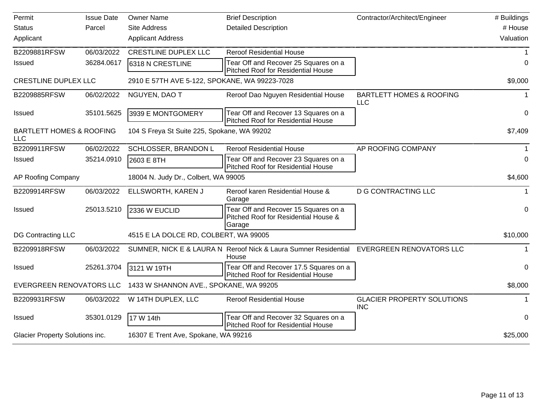| Permit                                            | <b>Issue Date</b> | <b>Owner Name</b>                             | <b>Brief Description</b>                                                                          | Contractor/Architect/Engineer                     | # Buildings |
|---------------------------------------------------|-------------------|-----------------------------------------------|---------------------------------------------------------------------------------------------------|---------------------------------------------------|-------------|
| <b>Status</b>                                     | Parcel            | <b>Site Address</b>                           | <b>Detailed Description</b>                                                                       |                                                   | # House     |
| Applicant                                         |                   | <b>Applicant Address</b>                      |                                                                                                   |                                                   | Valuation   |
| B2209881RFSW                                      | 06/03/2022        | <b>CRESTLINE DUPLEX LLC</b>                   | <b>Reroof Residential House</b>                                                                   |                                                   |             |
| <b>Issued</b>                                     | 36284.0617        | 6318 N CRESTLINE                              | Tear Off and Recover 25 Squares on a<br>Pitched Roof for Residential House                        |                                                   | 0           |
| <b>CRESTLINE DUPLEX LLC</b>                       |                   | 2910 E 57TH AVE 5-122, SPOKANE, WA 99223-7028 |                                                                                                   |                                                   | \$9,000     |
| B2209885RFSW                                      | 06/02/2022        | NGUYEN, DAO T                                 | Reroof Dao Nguyen Residential House                                                               | <b>BARTLETT HOMES &amp; ROOFING</b><br><b>LLC</b> | 1           |
| <b>Issued</b>                                     | 35101.5625        | 3939 E MONTGOMERY                             | Tear Off and Recover 13 Squares on a<br>Pitched Roof for Residential House                        |                                                   | 0           |
| <b>BARTLETT HOMES &amp; ROOFING</b><br><b>LLC</b> |                   | 104 S Freya St Suite 225, Spokane, WA 99202   |                                                                                                   |                                                   | \$7,409     |
| B2209911RFSW                                      | 06/02/2022        | SCHLOSSER, BRANDON L                          | <b>Reroof Residential House</b>                                                                   | AP ROOFING COMPANY                                |             |
| <b>Issued</b>                                     | 35214.0910        | 2603 E 8TH                                    | Tear Off and Recover 23 Squares on a<br><b>Pitched Roof for Residential House</b>                 |                                                   | 0           |
| AP Roofing Company                                |                   | 18004 N. Judy Dr., Colbert, WA 99005          |                                                                                                   |                                                   | \$4,600     |
| B2209914RFSW                                      | 06/03/2022        | ELLSWORTH, KAREN J                            | Reroof karen Residential House &<br>Garage                                                        | <b>D G CONTRACTING LLC</b>                        | $\mathbf 1$ |
| <b>Issued</b>                                     | 25013.5210        | 2336 W EUCLID                                 | Tear Off and Recover 15 Squares on a<br>Pitched Roof for Residential House &<br>Garage            |                                                   | 0           |
| DG Contracting LLC                                |                   | 4515 E LA DOLCE RD, COLBERT, WA 99005         |                                                                                                   |                                                   | \$10,000    |
| B2209918RFSW                                      | 06/03/2022        |                                               | SUMNER, NICK E & LAURA N Reroof Nick & Laura Sumner Residential EVERGREEN RENOVATORS LLC<br>House |                                                   | 1           |
| Issued                                            | 25261.3704        | 3121 W 19TH                                   | Tear Off and Recover 17.5 Squares on a<br>Pitched Roof for Residential House                      |                                                   | $\mathbf 0$ |
| <b>EVERGREEN RENOVATORS LLC</b>                   |                   | 1433 W SHANNON AVE., SPOKANE, WA 99205        |                                                                                                   |                                                   | \$8,000     |
| B2209931RFSW                                      | 06/03/2022        | W 14TH DUPLEX, LLC                            | <b>Reroof Residential House</b>                                                                   | <b>GLACIER PROPERTY SOLUTIONS</b><br><b>INC</b>   |             |
| <b>Issued</b>                                     | 35301.0129        | 17 W 14th                                     | Tear Off and Recover 32 Squares on a<br><b>Pitched Roof for Residential House</b>                 |                                                   | 0           |
| Glacier Property Solutions inc.                   |                   | 16307 E Trent Ave, Spokane, WA 99216          |                                                                                                   |                                                   | \$25,000    |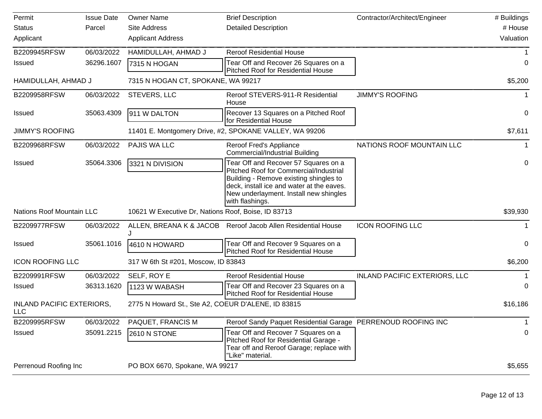| Permit                                         | <b>Issue Date</b> | <b>Owner Name</b>                                   | <b>Brief Description</b>                                                                                                                                                                                                           | Contractor/Architect/Engineer        | # Buildings |
|------------------------------------------------|-------------------|-----------------------------------------------------|------------------------------------------------------------------------------------------------------------------------------------------------------------------------------------------------------------------------------------|--------------------------------------|-------------|
| <b>Status</b>                                  | Parcel            | <b>Site Address</b>                                 | <b>Detailed Description</b>                                                                                                                                                                                                        |                                      | # House     |
| Applicant                                      |                   | <b>Applicant Address</b>                            |                                                                                                                                                                                                                                    |                                      | Valuation   |
| B2209945RFSW                                   | 06/03/2022        | HAMIDULLAH, AHMAD J                                 | <b>Reroof Residential House</b>                                                                                                                                                                                                    |                                      |             |
| <b>Issued</b>                                  | 36296.1607        | 7315 N HOGAN                                        | Tear Off and Recover 26 Squares on a<br>Pitched Roof for Residential House                                                                                                                                                         |                                      | 0           |
| HAMIDULLAH, AHMAD J                            |                   | 7315 N HOGAN CT, SPOKANE, WA 99217                  |                                                                                                                                                                                                                                    |                                      | \$5,200     |
| B2209958RFSW                                   | 06/03/2022        | STEVERS, LLC                                        | Reroof STEVERS-911-R Residential<br>House                                                                                                                                                                                          | <b>JIMMY'S ROOFING</b>               |             |
| <b>Issued</b>                                  | 35063.4309        | 911 W DALTON                                        | Recover 13 Squares on a Pitched Roof<br>for Residential House                                                                                                                                                                      |                                      | $\mathbf 0$ |
| <b>JIMMY'S ROOFING</b>                         |                   |                                                     | 11401 E. Montgomery Drive, #2, SPOKANE VALLEY, WA 99206                                                                                                                                                                            |                                      | \$7,611     |
| B2209968RFSW                                   | 06/03/2022        | PAJIS WA LLC                                        | Reroof Fred's Appliance<br><b>Commercial/Industrial Building</b>                                                                                                                                                                   | NATIONS ROOF MOUNTAIN LLC            |             |
| <b>Issued</b>                                  | 35064.3306        | 3321 N DIVISION                                     | Tear Off and Recover 57 Squares on a<br>Pitched Roof for Commercial/Industrial<br>Building - Remove existing shingles to<br>deck, install ice and water at the eaves.<br>New underlayment. Install new shingles<br>with flashings. |                                      | 0           |
| <b>Nations Roof Mountain LLC</b>               |                   | 10621 W Executive Dr, Nations Roof, Boise, ID 83713 |                                                                                                                                                                                                                                    |                                      | \$39,930    |
| B2209977RFSW                                   | 06/03/2022        |                                                     | ALLEN, BREANA K & JACOB Reroof Jacob Allen Residential House                                                                                                                                                                       | <b>ICON ROOFING LLC</b>              |             |
| <b>Issued</b>                                  | 35061.1016        | 4610 N HOWARD                                       | Tear Off and Recover 9 Squares on a<br>Pitched Roof for Residential House                                                                                                                                                          |                                      | 0           |
| <b>ICON ROOFING LLC</b>                        |                   | 317 W 6th St #201, Moscow, ID 83843                 |                                                                                                                                                                                                                                    |                                      | \$6,200     |
| B2209991RFSW                                   | 06/03/2022        | SELF, ROY E                                         | <b>Reroof Residential House</b>                                                                                                                                                                                                    | <b>INLAND PACIFIC EXTERIORS, LLC</b> |             |
| <b>Issued</b>                                  | 36313.1620        | 1123 W WABASH                                       | Tear Off and Recover 23 Squares on a<br>Pitched Roof for Residential House                                                                                                                                                         |                                      | 0           |
| <b>INLAND PACIFIC EXTERIORS,</b><br><b>LLC</b> |                   | 2775 N Howard St., Ste A2, COEUR D'ALENE, ID 83815  |                                                                                                                                                                                                                                    |                                      | \$16,186    |
| B2209995RFSW                                   | 06/03/2022        | PAQUET, FRANCIS M                                   | Reroof Sandy Paquet Residential Garage PERRENOUD ROOFING INC                                                                                                                                                                       |                                      | 1           |
| Issued                                         | 35091.2215        | <b>2610 N STONE</b>                                 | Tear Off and Recover 7 Squares on a<br>Pitched Roof for Residential Garage -<br>Tear off and Reroof Garage; replace with<br>"Like" material.                                                                                       |                                      | 0           |
| Perrenoud Roofing Inc                          |                   | PO BOX 6670, Spokane, WA 99217                      |                                                                                                                                                                                                                                    |                                      | \$5,655     |